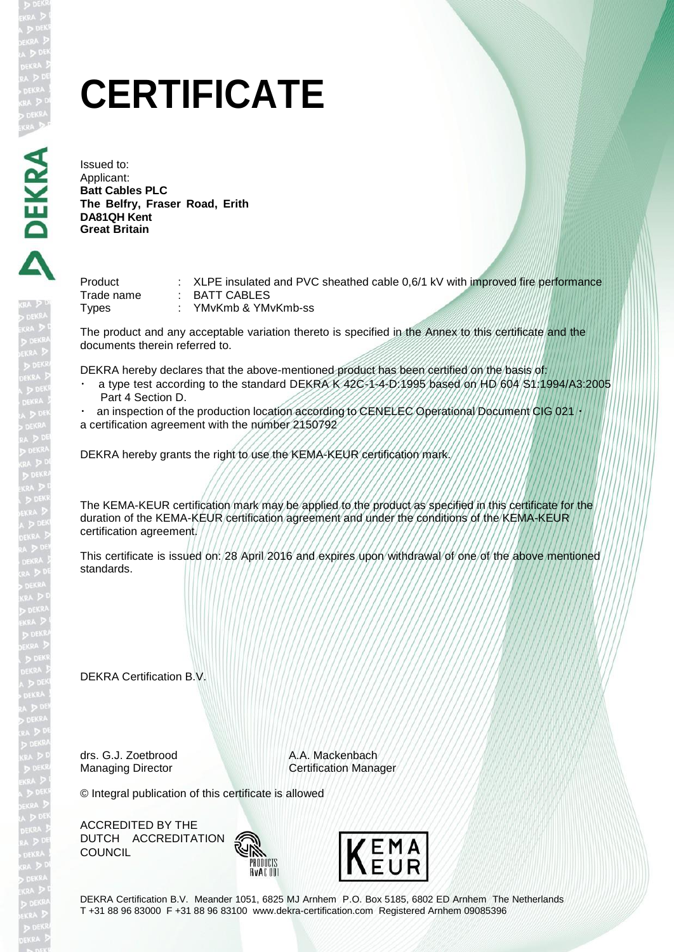# **CERTIFICATE**

Issued to: Applicant: **Batt Cables PLC The Belfry, Fraser Road, Erith DA81QH Kent Great Britain** 

| Product      | : XLPE insulated and PVC sheathed cable 0,6/1 kV with improved fire performance |  |  |
|--------------|---------------------------------------------------------------------------------|--|--|
| Trade name   | BATT CABLES                                                                     |  |  |
| <b>Types</b> | YMvKmb & YMvKmb-ss                                                              |  |  |

The product and any acceptable variation thereto is specified in the Annex to this certificate and the documents therein referred to.

DEKRA hereby declares that the above-mentioned product has been certified on the basis of:

 a type test according to the standard DEKRA K 42C-1-4-D:1995 based on HD 604 S1:1994/A3:2005 Part 4 Section D.

an inspection of the production location according to CENELEC Operational Document CIG 021 a certification agreement with the number 2150792

DEKRA hereby grants the right to use the KEMA-KEUR certification mark.

The KEMA-KEUR certification mark may be applied to the product as specified in this certificate for the duration of the KEMA-KEUR certification agreement and under the conditions of the KEMA-KEUR certification agreement.

This certificate is issued on: 28 April 2016 and expires upon withdrawal of one of the above mentioned standards.

DEKRA Certification B.V.

drs. G.J. Zoetbrood A.A. Mackenbach

Managing Director **Certification Manager** 

© Integral publication of this certificate is allowed

ACCREDITED BY THE DUTCH ACCREDITATION **COUNCIL** 





DEKRA Certification B.V. Meander 1051, 6825 MJ Arnhem P.O. Box 5185, 6802 ED Arnhem The Netherlands T +31 88 96 83000 F +31 88 96 83100 [www.dekra-certification.com](http://www.dekra-certification.com/) Registered Arnhem 09085396